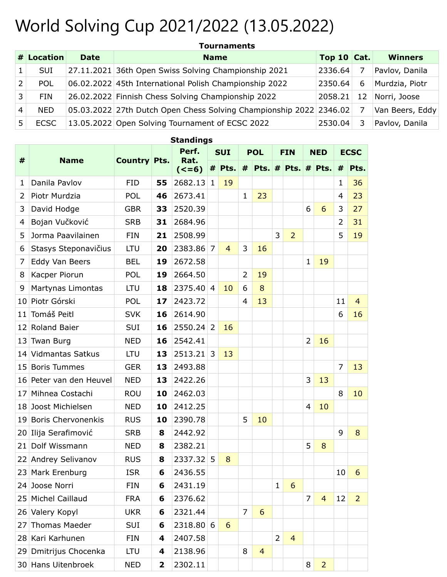## World Solving Cup 2021/2022 (13.05.2022)

|    | # Location  | <b>Date</b> | <b>Name</b>                                                        | Top 10 $\vert$ Cat. |    | <b>Winners</b>  |  |  |
|----|-------------|-------------|--------------------------------------------------------------------|---------------------|----|-----------------|--|--|
|    | <b>SUI</b>  |             | 27.11.2021 36th Open Swiss Solving Championship 2021               | 2336.64             |    | Pavlov, Danila  |  |  |
|    | POL         |             | 06.02.2022 45th International Polish Championship 2022             | 2350.64             | 6  | Murdzia, Piotr  |  |  |
| 3  | <b>FIN</b>  |             | 26.02.2022 Finnish Chess Solving Championship 2022                 | 2058.21             | 12 | Norri, Joose    |  |  |
| 4  | <b>NED</b>  |             | 05.03.2022 27th Dutch Open Chess Solving Championship 2022 2346.02 |                     |    | Van Beers, Eddy |  |  |
| 5. | <b>ECSC</b> |             | 13.05.2022 Open Solving Tournament of ECSC 2022                    | 2530.04             |    | Pavlov, Danila  |  |  |

|                |                           |                     |    | olununiyə       |                |                |                |                       |                |                |                |                |                |                |
|----------------|---------------------------|---------------------|----|-----------------|----------------|----------------|----------------|-----------------------|----------------|----------------|----------------|----------------|----------------|----------------|
|                |                           |                     |    | Perf.           | <b>SUI</b>     |                | <b>POL</b>     |                       | <b>FIN</b>     |                | <b>NED</b>     |                | <b>ECSC</b>    |                |
| #              | <b>Name</b>               | <b>Country Pts.</b> |    | Rat.<br>$(<=6)$ |                | $#$ Pts.       | #              | $ Pts.$ # Pts. # Pts. |                |                |                |                | #              | Pts.           |
| 1              | Danila Pavlov             | <b>FID</b>          | 55 | 2682.13         | 1              | 19             |                |                       |                |                |                |                | 1              | 36             |
| $\overline{2}$ | Piotr Murdzia             | POL                 | 46 | 2673.41         |                |                | $\mathbf 1$    | 23                    |                |                |                |                | 4              | 23             |
| 3              | David Hodge               | <b>GBR</b>          | 33 | 2520.39         |                |                |                |                       |                |                | 6              | 6              | 3              | 27             |
| 4              | Bojan Vučković            | <b>SRB</b>          | 31 | 2684.96         |                |                |                |                       |                |                |                |                | $\overline{2}$ | 31             |
| 5              | Jorma Paavilainen         | <b>FIN</b>          | 21 | 2508.99         |                |                |                |                       | 3              | $\overline{2}$ |                |                | 5              | 19             |
| 6              | Stasys Steponavičius      | <b>LTU</b>          | 20 | 2383.86         | 7              | $\overline{4}$ | 3              | 16                    |                |                |                |                |                |                |
| 7              | Eddy Van Beers            | <b>BEL</b>          | 19 | 2672.58         |                |                |                |                       |                |                | $\mathbf{1}$   | 19             |                |                |
| 8              | Kacper Piorun             | <b>POL</b>          | 19 | 2664.50         |                |                | $\overline{2}$ | 19                    |                |                |                |                |                |                |
| 9              | Martynas Limontas         | <b>LTU</b>          | 18 | 2375.40         | $\overline{4}$ | 10             | 6              | 8                     |                |                |                |                |                |                |
| 10             | Piotr Górski              | <b>POL</b>          | 17 | 2423.72         |                |                | $\overline{4}$ | 13                    |                |                |                |                | 11             | $\overline{4}$ |
| 11             | Tomáš Peitl               | <b>SVK</b>          | 16 | 2614.90         |                |                |                |                       |                |                |                |                | 6              | 16             |
| 12             | Roland Baier              | SUI                 | 16 | 2550.24         | 2              | 16             |                |                       |                |                |                |                |                |                |
| 13             | Twan Burg                 | <b>NED</b>          | 16 | 2542.41         |                |                |                |                       |                |                | $\overline{2}$ | 16             |                |                |
| 14             | <b>Vidmantas Satkus</b>   | LTU                 | 13 | 2513.21         | 3              | 13             |                |                       |                |                |                |                |                |                |
| 15             | <b>Boris Tummes</b>       | <b>GER</b>          | 13 | 2493.88         |                |                |                |                       |                |                |                |                | $\overline{7}$ | 13             |
| 16             | Peter van den Heuvel      | <b>NED</b>          | 13 | 2422.26         |                |                |                |                       |                |                | 3              | 13             |                |                |
| 17             | Mihnea Costachi           | <b>ROU</b>          | 10 | 2462.03         |                |                |                |                       |                |                |                |                | 8              | 10             |
| 18             | Joost Michielsen          | <b>NED</b>          | 10 | 2412.25         |                |                |                |                       |                |                | 4              | 10             |                |                |
| 19             | <b>Boris Chervonenkis</b> | <b>RUS</b>          | 10 | 2390.78         |                |                | 5              | 10                    |                |                |                |                |                |                |
| 20             | Ilija Serafimović         | <b>SRB</b>          | 8  | 2442.92         |                |                |                |                       |                |                |                |                | 9              | 8              |
| 21             | Dolf Wissmann             | <b>NED</b>          | 8  | 2382.21         |                |                |                |                       |                |                | 5              | 8              |                |                |
|                | 22 Andrey Selivanov       | <b>RUS</b>          | 8  | 2337.32         | 5              | 8              |                |                       |                |                |                |                |                |                |
|                | 23 Mark Erenburg          | <b>ISR</b>          | 6  | 2436.55         |                |                |                |                       |                |                |                |                | 10             | 6              |
|                | 24 Joose Norri            | <b>FIN</b>          | 6  | 2431.19         |                |                |                |                       | $\mathbf{1}$   | 6              |                |                |                |                |
| 25             | Michel Caillaud           | <b>FRA</b>          | 6  | 2376.62         |                |                |                |                       |                |                | $\overline{7}$ | $\overline{4}$ | 12             | $\overline{2}$ |
|                | 26 Valery Kopyl           | <b>UKR</b>          | 6  | 2321.44         |                |                | $\overline{7}$ | 6                     |                |                |                |                |                |                |
| 27             | <b>Thomas Maeder</b>      | SUI                 | 6  | 2318.80         | 6              | 6              |                |                       |                |                |                |                |                |                |
|                | 28 Kari Karhunen          | <b>FIN</b>          | 4  | 2407.58         |                |                |                |                       | $\overline{2}$ | $\overline{4}$ |                |                |                |                |
|                | 29 Dmitrijus Chocenka     | <b>LTU</b>          | 4  | 2138.96         |                |                | 8              | $\overline{4}$        |                |                |                |                |                |                |

30 Hans Uitenbroek NED **2** 2302.11 **1** 8 2

## **Standings**